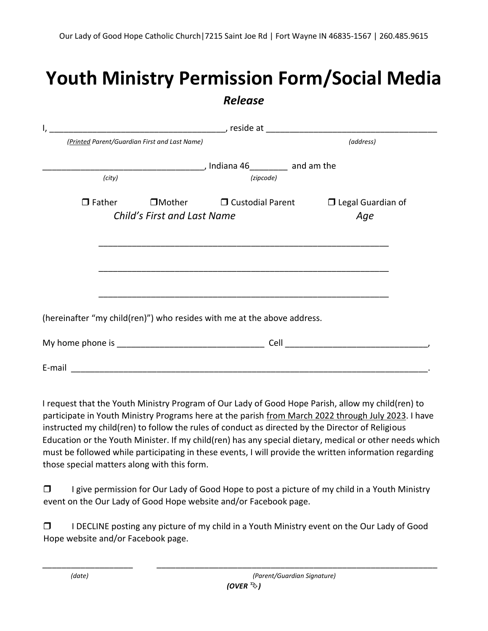## **Youth Ministry Permission Form/Social Media**  *Release*

| (Printed Parent/Guardian First and Last Name)                           |  |                                                                    | (address) |                          |  |
|-------------------------------------------------------------------------|--|--------------------------------------------------------------------|-----------|--------------------------|--|
|                                                                         |  | ________________________________, Indiana 46___________ and am the |           |                          |  |
| (city)                                                                  |  | (zipcode)                                                          |           |                          |  |
| $\Box$ Father                                                           |  | $\square$ Mother $\square$ Custodial Parent                        |           | $\Box$ Legal Guardian of |  |
| Child's First and Last Name<br>Age                                      |  |                                                                    |           |                          |  |
|                                                                         |  |                                                                    |           |                          |  |
| (hereinafter "my child(ren)") who resides with me at the above address. |  |                                                                    |           |                          |  |
|                                                                         |  |                                                                    |           |                          |  |
| E-mail                                                                  |  |                                                                    |           |                          |  |

I request that the Youth Ministry Program of Our Lady of Good Hope Parish, allow my child(ren) to participate in Youth Ministry Programs here at the parish from March 2022 through July 2023. I have instructed my child(ren) to follow the rules of conduct as directed by the Director of Religious Education or the Youth Minister. If my child(ren) has any special dietary, medical or other needs which must be followed while participating in these events, I will provide the written information regarding those special matters along with this form.

 $\Box$  I give permission for Our Lady of Good Hope to post a picture of my child in a Youth Ministry event on the Our Lady of Good Hope website and/or Facebook page.

 $\Box$  I DECLINE posting any picture of my child in a Youth Ministry event on the Our Lady of Good Hope website and/or Facebook page.

\_\_\_\_\_\_\_\_\_\_\_\_\_\_\_\_\_\_\_ \_\_\_\_\_\_\_\_\_\_\_\_\_\_\_\_\_\_\_\_\_\_\_\_\_\_\_\_\_\_\_\_\_\_\_\_\_\_\_\_\_\_\_\_\_\_\_\_\_\_\_\_\_\_\_\_\_\_\_